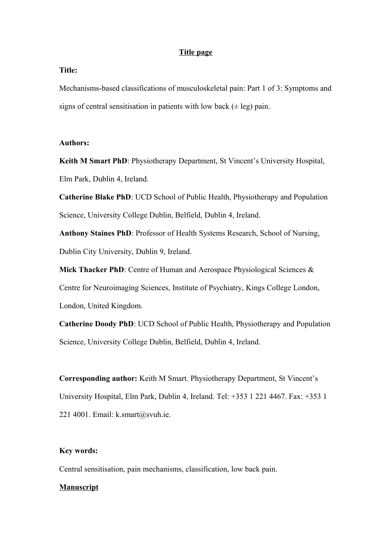## **Title page**

## **Title:**

Mechanisms-based classifications of musculoskeletal pain: Part 1 of 3: Symptoms and signs of central sensitisation in patients with low back  $(\pm \text{ leg})$  pain.

## **Authors:**

**Keith M Smart PhD**: Physiotherapy Department, St Vincent's University Hospital, Elm Park, Dublin 4, Ireland.

**Catherine Blake PhD**: UCD School of Public Health, Physiotherapy and Population Science, University College Dublin, Belfield, Dublin 4, Ireland.

**Anthony Staines PhD**: Professor of Health Systems Research, School of Nursing, Dublin City University, Dublin 9, Ireland.

**Mick Thacker PhD**: Centre of Human and Aerospace Physiological Sciences & Centre for Neuroimaging Sciences, Institute of Psychiatry, Kings College London, London, United Kingdom.

**Catherine Doody PhD**: UCD School of Public Health, Physiotherapy and Population Science, University College Dublin, Belfield, Dublin 4, Ireland.

**Corresponding author:** Keith M Smart. Physiotherapy Department, St Vincent's University Hospital, Elm Park, Dublin 4, Ireland. Tel: +353 1 221 4467. Fax: +353 1 221 4001. Email: k.smart@svuh.ie.

## **Key words:**

Central sensitisation, pain mechanisms, classification, low back pain.

## **Manuscript**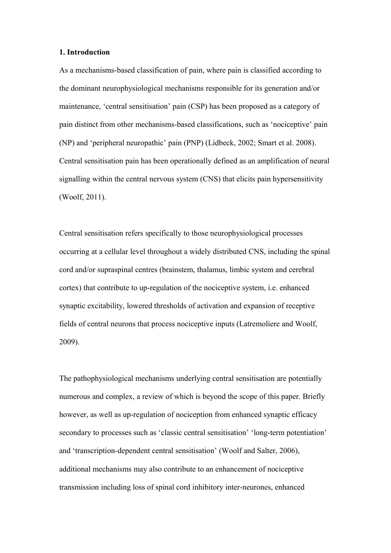#### **1. Introduction**

As a mechanisms-based classification of pain, where pain is classified according to the dominant neurophysiological mechanisms responsible for its generation and/or maintenance, 'central sensitisation' pain (CSP) has been proposed as a category of pain distinct from other mechanisms-based classifications, such as 'nociceptive' pain (NP) and 'peripheral neuropathic' pain (PNP) (Lidbeck, 2002; Smart et al. 2008). Central sensitisation pain has been operationally defined as an amplification of neural signalling within the central nervous system (CNS) that elicits pain hypersensitivity (Woolf, 2011).

Central sensitisation refers specifically to those neurophysiological processes occurring at a cellular level throughout a widely distributed CNS, including the spinal cord and/or supraspinal centres (brainstem, thalamus, limbic system and cerebral cortex) that contribute to up-regulation of the nociceptive system, i.e. enhanced synaptic excitability, lowered thresholds of activation and expansion of receptive fields of central neurons that process nociceptive inputs (Latremoliere and Woolf, 2009).

The pathophysiological mechanisms underlying central sensitisation are potentially numerous and complex, a review of which is beyond the scope of this paper. Briefly however, as well as up-regulation of nociception from enhanced synaptic efficacy secondary to processes such as 'classic central sensitisation' 'long-term potentiation' and 'transcription-dependent central sensitisation' (Woolf and Salter, 2006), additional mechanisms may also contribute to an enhancement of nociceptive transmission including loss of spinal cord inhibitory inter-neurones, enhanced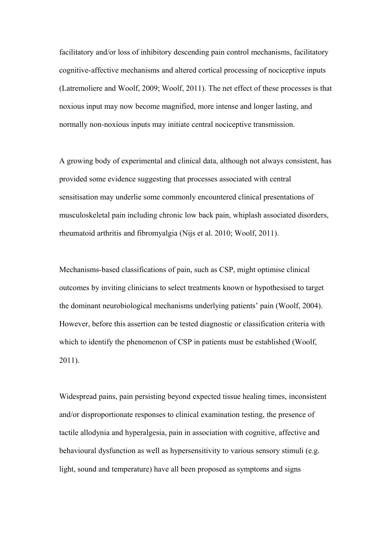facilitatory and/or loss of inhibitory descending pain control mechanisms, facilitatory cognitive-affective mechanisms and altered cortical processing of nociceptive inputs (Latremoliere and Woolf, 2009; Woolf, 2011). The net effect of these processes is that noxious input may now become magnified, more intense and longer lasting, and normally non-noxious inputs may initiate central nociceptive transmission.

A growing body of experimental and clinical data, although not always consistent, has provided some evidence suggesting that processes associated with central sensitisation may underlie some commonly encountered clinical presentations of musculoskeletal pain including chronic low back pain, whiplash associated disorders, rheumatoid arthritis and fibromyalgia (Nijs et al. 2010; Woolf, 2011).

Mechanisms-based classifications of pain, such as CSP, might optimise clinical outcomes by inviting clinicians to select treatments known or hypothesised to target the dominant neurobiological mechanisms underlying patients' pain (Woolf, 2004). However, before this assertion can be tested diagnostic or classification criteria with which to identify the phenomenon of CSP in patients must be established (Woolf, 2011).

Widespread pains, pain persisting beyond expected tissue healing times, inconsistent and/or disproportionate responses to clinical examination testing, the presence of tactile allodynia and hyperalgesia, pain in association with cognitive, affective and behavioural dysfunction as well as hypersensitivity to various sensory stimuli (e.g. light, sound and temperature) have all been proposed as symptoms and signs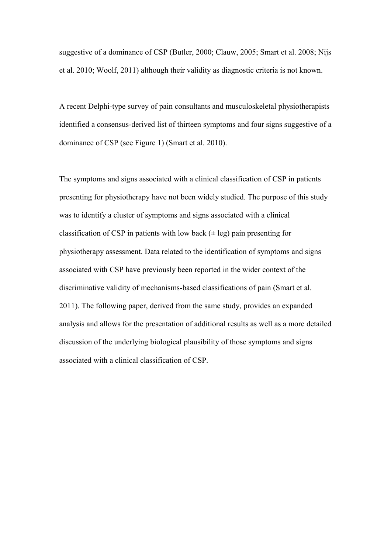suggestive of a dominance of CSP (Butler, 2000; Clauw, 2005; Smart et al. 2008; Nijs et al. 2010; Woolf, 2011) although their validity as diagnostic criteria is not known.

A recent Delphi-type survey of pain consultants and musculoskeletal physiotherapists identified a consensus-derived list of thirteen symptoms and four signs suggestive of a dominance of CSP (see Figure 1) (Smart et al. 2010).

The symptoms and signs associated with a clinical classification of CSP in patients presenting for physiotherapy have not been widely studied. The purpose of this study was to identify a cluster of symptoms and signs associated with a clinical classification of CSP in patients with low back  $(\pm \text{ leg})$  pain presenting for physiotherapy assessment. Data related to the identification of symptoms and signs associated with CSP have previously been reported in the wider context of the discriminative validity of mechanisms-based classifications of pain (Smart et al. 2011). The following paper, derived from the same study, provides an expanded analysis and allows for the presentation of additional results as well as a more detailed discussion of the underlying biological plausibility of those symptoms and signs associated with a clinical classification of CSP.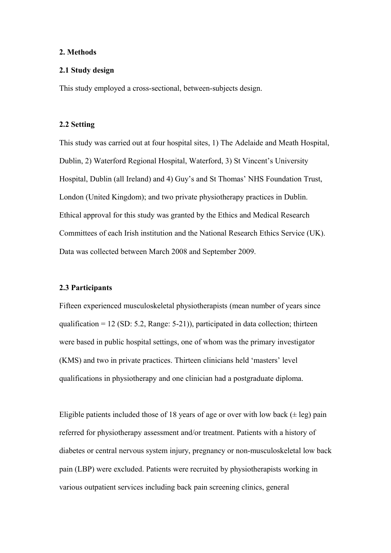#### **2. Methods**

## **2.1 Study design**

This study employed a cross-sectional, between-subjects design.

#### **2.2 Setting**

This study was carried out at four hospital sites, 1) The Adelaide and Meath Hospital, Dublin, 2) Waterford Regional Hospital, Waterford, 3) St Vincent's University Hospital, Dublin (all Ireland) and 4) Guy's and St Thomas' NHS Foundation Trust, London (United Kingdom); and two private physiotherapy practices in Dublin. Ethical approval for this study was granted by the Ethics and Medical Research Committees of each Irish institution and the National Research Ethics Service (UK). Data was collected between March 2008 and September 2009.

#### **2.3 Participants**

Fifteen experienced musculoskeletal physiotherapists (mean number of years since qualification  $= 12$  (SD: 5.2, Range: 5-21)), participated in data collection; thirteen were based in public hospital settings, one of whom was the primary investigator (KMS) and two in private practices. Thirteen clinicians held 'masters' level qualifications in physiotherapy and one clinician had a postgraduate diploma.

Eligible patients included those of 18 years of age or over with low back ( $\pm$  leg) pain referred for physiotherapy assessment and/or treatment. Patients with a history of diabetes or central nervous system injury, pregnancy or non-musculoskeletal low back pain (LBP) were excluded. Patients were recruited by physiotherapists working in various outpatient services including back pain screening clinics, general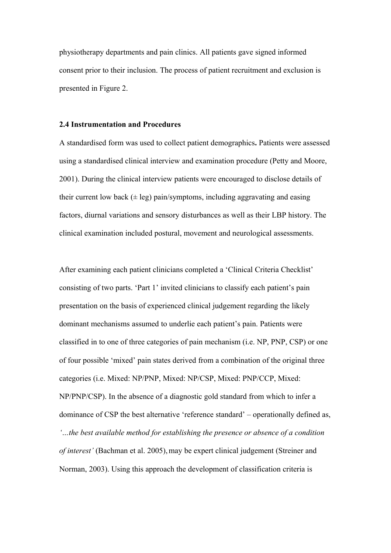physiotherapy departments and pain clinics. All patients gave signed informed consent prior to their inclusion. The process of patient recruitment and exclusion is presented in Figure 2.

#### **2.4 Instrumentation and Procedures**

A standardised form was used to collect patient demographics**.** Patients were assessed using a standardised clinical interview and examination procedure (Petty and Moore, 2001). During the clinical interview patients were encouraged to disclose details of their current low back  $(\pm \text{ leg})$  pain/symptoms, including aggravating and easing factors, diurnal variations and sensory disturbances as well as their LBP history. The clinical examination included postural, movement and neurological assessments.

After examining each patient clinicians completed a 'Clinical Criteria Checklist' consisting of two parts. 'Part 1' invited clinicians to classify each patient's pain presentation on the basis of experienced clinical judgement regarding the likely dominant mechanisms assumed to underlie each patient's pain. Patients were classified in to one of three categories of pain mechanism (i.e. NP, PNP, CSP) or one of four possible 'mixed' pain states derived from a combination of the original three categories (i.e. Mixed: NP/PNP, Mixed: NP/CSP, Mixed: PNP/CCP, Mixed: NP/PNP/CSP). In the absence of a diagnostic gold standard from which to infer a dominance of CSP the best alternative 'reference standard' – operationally defined as, *'…the best available method for establishing the presence or absence of a condition of interest'* (Bachman et al. 2005), may be expert clinical judgement (Streiner and Norman, 2003). Using this approach the development of classification criteria is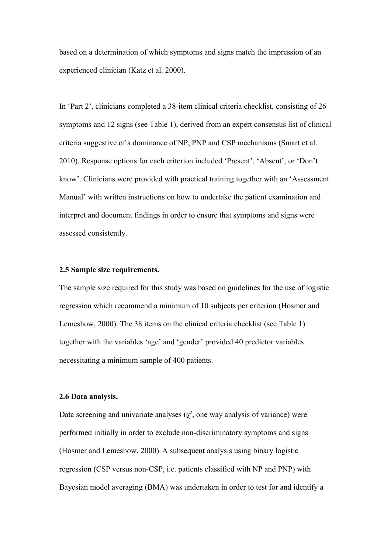based on a determination of which symptoms and signs match the impression of an experienced clinician (Katz et al. 2000).

In 'Part 2', clinicians completed a 38-item clinical criteria checklist, consisting of 26 symptoms and 12 signs (see Table 1), derived from an expert consensus list of clinical criteria suggestive of a dominance of NP, PNP and CSP mechanisms (Smart et al. 2010). Response options for each criterion included 'Present', 'Absent', or 'Don't know'. Clinicians were provided with practical training together with an 'Assessment Manual' with written instructions on how to undertake the patient examination and interpret and document findings in order to ensure that symptoms and signs were assessed consistently.

## **2.5 Sample size requirements.**

The sample size required for this study was based on guidelines for the use of logistic regression which recommend a minimum of 10 subjects per criterion (Hosmer and Lemeshow, 2000). The 38 items on the clinical criteria checklist (see Table 1) together with the variables 'age' and 'gender' provided 40 predictor variables necessitating a minimum sample of 400 patients.

#### **2.6 Data analysis.**

Data screening and univariate analyses  $(\chi^2)$ , one way analysis of variance) were performed initially in order to exclude non-discriminatory symptoms and signs (Hosmer and Lemeshow, 2000). A subsequent analysis using binary logistic regression (CSP versus non-CSP, i.e. patients classified with NP and PNP) with Bayesian model averaging (BMA) was undertaken in order to test for and identify a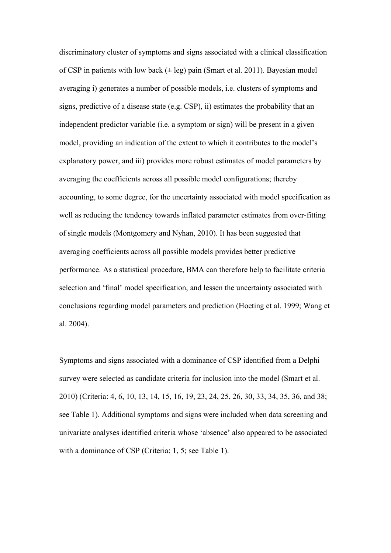discriminatory cluster of symptoms and signs associated with a clinical classification of CSP in patients with low back  $(\pm \text{ leg})$  pain (Smart et al. 2011). Bayesian model averaging i) generates a number of possible models, i.e. clusters of symptoms and signs, predictive of a disease state (e.g. CSP), ii) estimates the probability that an independent predictor variable (i.e. a symptom or sign) will be present in a given model, providing an indication of the extent to which it contributes to the model's explanatory power, and iii) provides more robust estimates of model parameters by averaging the coefficients across all possible model configurations; thereby accounting, to some degree, for the uncertainty associated with model specification as well as reducing the tendency towards inflated parameter estimates from over-fitting of single models (Montgomery and Nyhan, 2010). It has been suggested that averaging coefficients across all possible models provides better predictive performance. As a statistical procedure, BMA can therefore help to facilitate criteria selection and 'final' model specification, and lessen the uncertainty associated with conclusions regarding model parameters and prediction (Hoeting et al. 1999; Wang et al. 2004).

Symptoms and signs associated with a dominance of CSP identified from a Delphi survey were selected as candidate criteria for inclusion into the model (Smart et al. 2010) (Criteria: 4, 6, 10, 13, 14, 15, 16, 19, 23, 24, 25, 26, 30, 33, 34, 35, 36, and 38; see Table 1). Additional symptoms and signs were included when data screening and univariate analyses identified criteria whose 'absence' also appeared to be associated with a dominance of CSP (Criteria: 1, 5; see Table 1).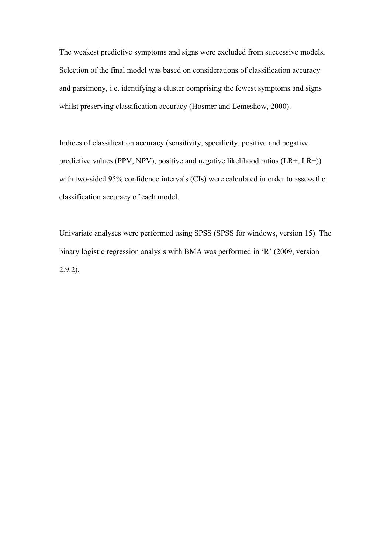The weakest predictive symptoms and signs were excluded from successive models. Selection of the final model was based on considerations of classification accuracy and parsimony, i.e. identifying a cluster comprising the fewest symptoms and signs whilst preserving classification accuracy (Hosmer and Lemeshow, 2000).

Indices of classification accuracy (sensitivity, specificity, positive and negative predictive values (PPV, NPV), positive and negative likelihood ratios (LR+, LR−)) with two-sided 95% confidence intervals (CIs) were calculated in order to assess the classification accuracy of each model.

Univariate analyses were performed using SPSS (SPSS for windows, version 15). The binary logistic regression analysis with BMA was performed in 'R' (2009, version 2.9.2).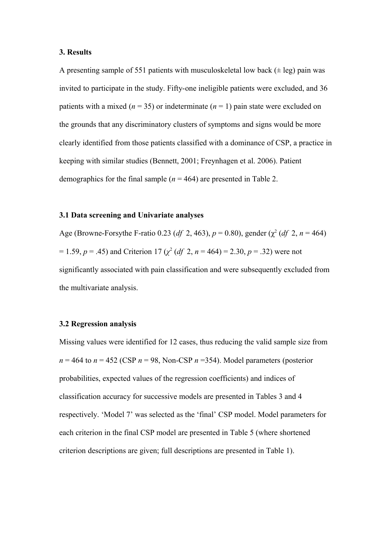#### **3. Results**

A presenting sample of 551 patients with musculoskeletal low back ( $\pm$  leg) pain was invited to participate in the study. Fifty-one ineligible patients were excluded, and 36 patients with a mixed ( $n = 35$ ) or indeterminate ( $n = 1$ ) pain state were excluded on the grounds that any discriminatory clusters of symptoms and signs would be more clearly identified from those patients classified with a dominance of CSP, a practice in keeping with similar studies (Bennett, 2001; Freynhagen et al. 2006). Patient demographics for the final sample  $(n = 464)$  are presented in Table 2.

## **3.1 Data screening and Univariate analyses**

Age (Browne-Forsythe F-ratio 0.23 (*df* 2, 463),  $p = 0.80$ ), gender ( $\chi^2$  (*df* 2,  $n = 464$ )  $= 1.59, p = .45$ ) and Criterion 17 ( $\chi^2$  (*df* 2, *n* = 464) = 2.30, *p* = .32) were not significantly associated with pain classification and were subsequently excluded from the multivariate analysis.

#### **3.2 Regression analysis**

Missing values were identified for 12 cases, thus reducing the valid sample size from  $n = 464$  to  $n = 452$  (CSP  $n = 98$ , Non-CSP  $n = 354$ ). Model parameters (posterior probabilities, expected values of the regression coefficients) and indices of classification accuracy for successive models are presented in Tables 3 and 4 respectively. 'Model 7' was selected as the 'final' CSP model. Model parameters for each criterion in the final CSP model are presented in Table 5 (where shortened criterion descriptions are given; full descriptions are presented in Table 1).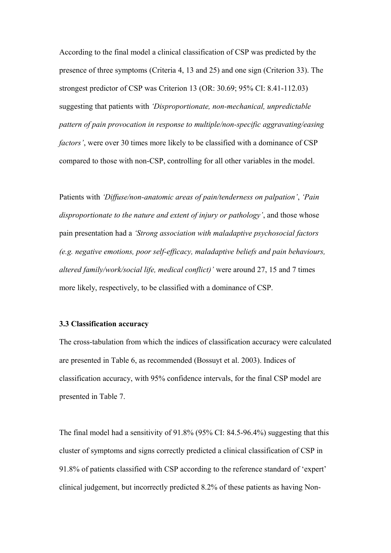According to the final model a clinical classification of CSP was predicted by the presence of three symptoms (Criteria 4, 13 and 25) and one sign (Criterion 33). The strongest predictor of CSP was Criterion 13 (OR: 30.69; 95% CI: 8.41-112.03) suggesting that patients with *'Disproportionate, non-mechanical, unpredictable pattern of pain provocation in response to multiple/non-specific aggravating/easing factors'*, were over 30 times more likely to be classified with a dominance of CSP compared to those with non-CSP, controlling for all other variables in the model.

Patients with *'Diffuse/non-anatomic areas of pain/tenderness on palpation'*, *'Pain disproportionate to the nature and extent of injury or pathology'*, and those whose pain presentation had a *'Strong association with maladaptive psychosocial factors (e.g. negative emotions, poor self-efficacy, maladaptive beliefs and pain behaviours, altered family/work/social life, medical conflict)'* were around 27, 15 and 7 times more likely, respectively, to be classified with a dominance of CSP.

### **3.3 Classification accuracy**

The cross-tabulation from which the indices of classification accuracy were calculated are presented in Table 6, as recommended (Bossuyt et al. 2003). Indices of classification accuracy, with 95% confidence intervals, for the final CSP model are presented in Table 7.

The final model had a sensitivity of 91.8% (95% CI: 84.5-96.4%) suggesting that this cluster of symptoms and signs correctly predicted a clinical classification of CSP in 91.8% of patients classified with CSP according to the reference standard of 'expert' clinical judgement, but incorrectly predicted 8.2% of these patients as having Non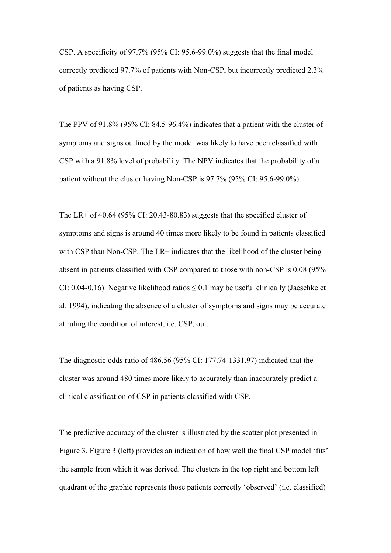CSP. A specificity of 97.7% (95% CI: 95.6-99.0%) suggests that the final model correctly predicted 97.7% of patients with Non-CSP, but incorrectly predicted 2.3% of patients as having CSP.

The PPV of 91.8% (95% CI: 84.5-96.4%) indicates that a patient with the cluster of symptoms and signs outlined by the model was likely to have been classified with CSP with a 91.8% level of probability. The NPV indicates that the probability of a patient without the cluster having Non-CSP is 97.7% (95% CI: 95.6-99.0%).

The LR+ of 40.64 (95% CI: 20.43-80.83) suggests that the specified cluster of symptoms and signs is around 40 times more likely to be found in patients classified with CSP than Non-CSP. The LR− indicates that the likelihood of the cluster being absent in patients classified with CSP compared to those with non-CSP is 0.08 (95% CI: 0.04-0.16). Negative likelihood ratios  $\leq$  0.1 may be useful clinically (Jaeschke et al. 1994), indicating the absence of a cluster of symptoms and signs may be accurate at ruling the condition of interest, i.e. CSP, out.

The diagnostic odds ratio of 486.56 (95% CI: 177.74-1331.97) indicated that the cluster was around 480 times more likely to accurately than inaccurately predict a clinical classification of CSP in patients classified with CSP.

The predictive accuracy of the cluster is illustrated by the scatter plot presented in Figure 3. Figure 3 (left) provides an indication of how well the final CSP model 'fits' the sample from which it was derived. The clusters in the top right and bottom left quadrant of the graphic represents those patients correctly 'observed' (i.e. classified)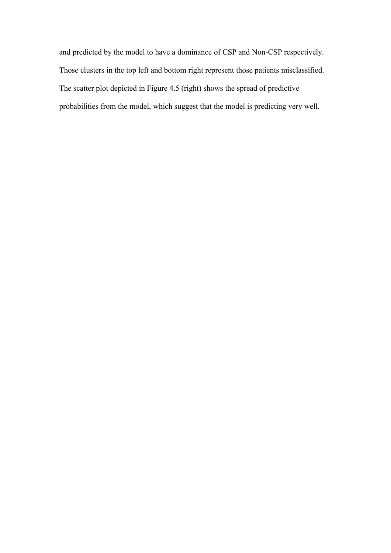and predicted by the model to have a dominance of CSP and Non-CSP respectively. Those clusters in the top left and bottom right represent those patients misclassified. The scatter plot depicted in Figure 4.5 (right) shows the spread of predictive probabilities from the model, which suggest that the model is predicting very well.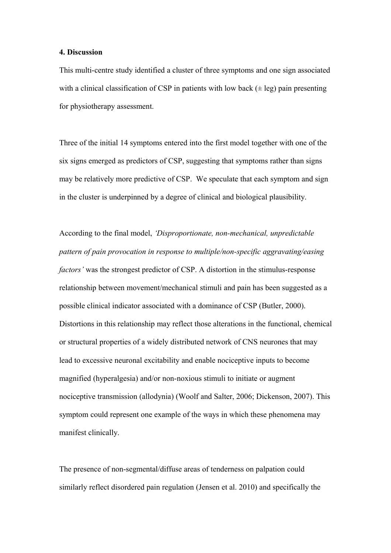#### **4. Discussion**

This multi-centre study identified a cluster of three symptoms and one sign associated with a clinical classification of CSP in patients with low back  $(\pm \text{ leg})$  pain presenting for physiotherapy assessment.

Three of the initial 14 symptoms entered into the first model together with one of the six signs emerged as predictors of CSP, suggesting that symptoms rather than signs may be relatively more predictive of CSP. We speculate that each symptom and sign in the cluster is underpinned by a degree of clinical and biological plausibility.

According to the final model, *'Disproportionate, non-mechanical, unpredictable pattern of pain provocation in response to multiple/non-specific aggravating/easing factors'* was the strongest predictor of CSP. A distortion in the stimulus-response relationship between movement/mechanical stimuli and pain has been suggested as a possible clinical indicator associated with a dominance of CSP (Butler, 2000). Distortions in this relationship may reflect those alterations in the functional, chemical or structural properties of a widely distributed network of CNS neurones that may lead to excessive neuronal excitability and enable nociceptive inputs to become magnified (hyperalgesia) and/or non-noxious stimuli to initiate or augment nociceptive transmission (allodynia) (Woolf and Salter, 2006; Dickenson, 2007). This symptom could represent one example of the ways in which these phenomena may manifest clinically.

The presence of non-segmental/diffuse areas of tenderness on palpation could similarly reflect disordered pain regulation (Jensen et al. 2010) and specifically the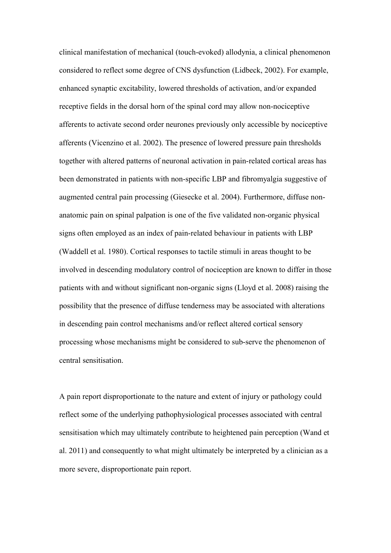clinical manifestation of mechanical (touch-evoked) allodynia, a clinical phenomenon considered to reflect some degree of CNS dysfunction (Lidbeck, 2002). For example, enhanced synaptic excitability, lowered thresholds of activation, and/or expanded receptive fields in the dorsal horn of the spinal cord may allow non-nociceptive afferents to activate second order neurones previously only accessible by nociceptive afferents (Vicenzino et al. 2002). The presence of lowered pressure pain thresholds together with altered patterns of neuronal activation in pain-related cortical areas has been demonstrated in patients with non-specific LBP and fibromyalgia suggestive of augmented central pain processing (Giesecke et al. 2004). Furthermore, diffuse nonanatomic pain on spinal palpation is one of the five validated non-organic physical signs often employed as an index of pain-related behaviour in patients with LBP (Waddell et al. 1980). Cortical responses to tactile stimuli in areas thought to be involved in descending modulatory control of nociception are known to differ in those patients with and without significant non-organic signs (Lloyd et al. 2008) raising the possibility that the presence of diffuse tenderness may be associated with alterations in descending pain control mechanisms and/or reflect altered cortical sensory processing whose mechanisms might be considered to sub-serve the phenomenon of central sensitisation.

A pain report disproportionate to the nature and extent of injury or pathology could reflect some of the underlying pathophysiological processes associated with central sensitisation which may ultimately contribute to heightened pain perception (Wand et al. 2011) and consequently to what might ultimately be interpreted by a clinician as a more severe, disproportionate pain report.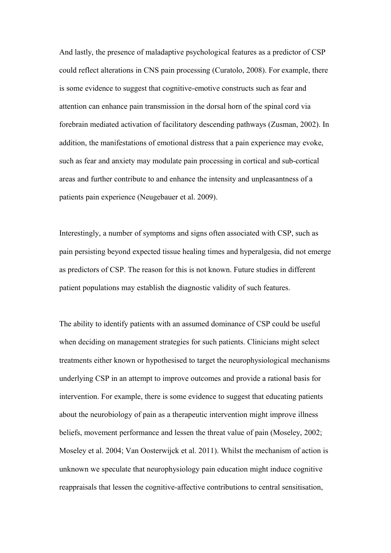And lastly, the presence of maladaptive psychological features as a predictor of CSP could reflect alterations in CNS pain processing (Curatolo, 2008). For example, there is some evidence to suggest that cognitive-emotive constructs such as fear and attention can enhance pain transmission in the dorsal horn of the spinal cord via forebrain mediated activation of facilitatory descending pathways (Zusman, 2002). In addition, the manifestations of emotional distress that a pain experience may evoke, such as fear and anxiety may modulate pain processing in cortical and sub-cortical areas and further contribute to and enhance the intensity and unpleasantness of a patients pain experience (Neugebauer et al. 2009).

Interestingly, a number of symptoms and signs often associated with CSP, such as pain persisting beyond expected tissue healing times and hyperalgesia, did not emerge as predictors of CSP. The reason for this is not known. Future studies in different patient populations may establish the diagnostic validity of such features.

The ability to identify patients with an assumed dominance of CSP could be useful when deciding on management strategies for such patients. Clinicians might select treatments either known or hypothesised to target the neurophysiological mechanisms underlying CSP in an attempt to improve outcomes and provide a rational basis for intervention. For example, there is some evidence to suggest that educating patients about the neurobiology of pain as a therapeutic intervention might improve illness beliefs, movement performance and lessen the threat value of pain (Moseley, 2002; Moseley et al. 2004; Van Oosterwijck et al. 2011). Whilst the mechanism of action is unknown we speculate that neurophysiology pain education might induce cognitive reappraisals that lessen the cognitive-affective contributions to central sensitisation,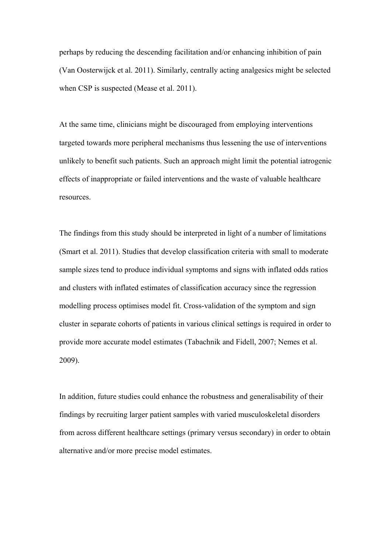perhaps by reducing the descending facilitation and/or enhancing inhibition of pain (Van Oosterwijck et al. 2011). Similarly, centrally acting analgesics might be selected when CSP is suspected (Mease et al. 2011).

At the same time, clinicians might be discouraged from employing interventions targeted towards more peripheral mechanisms thus lessening the use of interventions unlikely to benefit such patients. Such an approach might limit the potential iatrogenic effects of inappropriate or failed interventions and the waste of valuable healthcare resources.

The findings from this study should be interpreted in light of a number of limitations (Smart et al. 2011). Studies that develop classification criteria with small to moderate sample sizes tend to produce individual symptoms and signs with inflated odds ratios and clusters with inflated estimates of classification accuracy since the regression modelling process optimises model fit. Cross-validation of the symptom and sign cluster in separate cohorts of patients in various clinical settings is required in order to provide more accurate model estimates (Tabachnik and Fidell, 2007; Nemes et al. 2009).

In addition, future studies could enhance the robustness and generalisability of their findings by recruiting larger patient samples with varied musculoskeletal disorders from across different healthcare settings (primary versus secondary) in order to obtain alternative and/or more precise model estimates.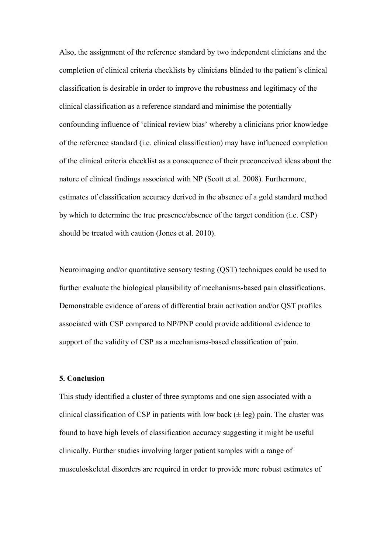Also, the assignment of the reference standard by two independent clinicians and the completion of clinical criteria checklists by clinicians blinded to the patient's clinical classification is desirable in order to improve the robustness and legitimacy of the clinical classification as a reference standard and minimise the potentially confounding influence of 'clinical review bias' whereby a clinicians prior knowledge of the reference standard (i.e. clinical classification) may have influenced completion of the clinical criteria checklist as a consequence of their preconceived ideas about the nature of clinical findings associated with NP (Scott et al. 2008). Furthermore, estimates of classification accuracy derived in the absence of a gold standard method by which to determine the true presence/absence of the target condition (i.e. CSP) should be treated with caution (Jones et al. 2010).

Neuroimaging and/or quantitative sensory testing (QST) techniques could be used to further evaluate the biological plausibility of mechanisms-based pain classifications. Demonstrable evidence of areas of differential brain activation and/or QST profiles associated with CSP compared to NP/PNP could provide additional evidence to support of the validity of CSP as a mechanisms-based classification of pain.

## **5. Conclusion**

This study identified a cluster of three symptoms and one sign associated with a clinical classification of CSP in patients with low back  $(\pm \text{ leg})$  pain. The cluster was found to have high levels of classification accuracy suggesting it might be useful clinically. Further studies involving larger patient samples with a range of musculoskeletal disorders are required in order to provide more robust estimates of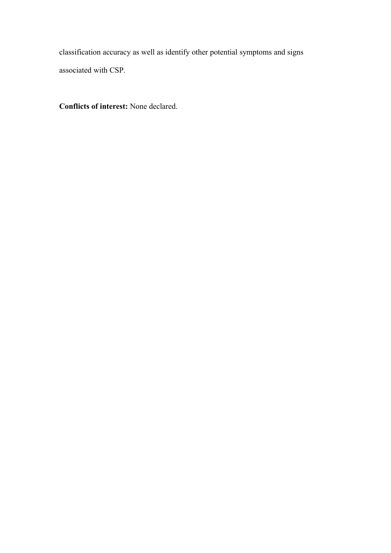classification accuracy as well as identify other potential symptoms and signs associated with CSP.

**Conflicts of interest:** None declared.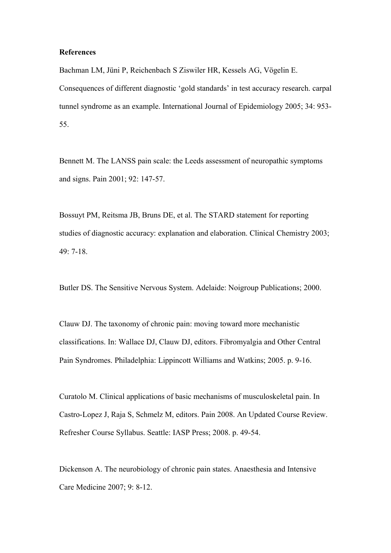#### **References**

Bachman LM, Jüni P, Reichenbach S Ziswiler HR, Kessels AG, Vögelin E. Consequences of different diagnostic 'gold standards' in test accuracy research. carpal tunnel syndrome as an example. International Journal of Epidemiology 2005; 34: 953- 55.

Bennett M. The LANSS pain scale: the Leeds assessment of neuropathic symptoms and signs. Pain 2001; 92: 147-57.

Bossuyt PM, Reitsma JB, Bruns DE, et al. The STARD statement for reporting studies of diagnostic accuracy: explanation and elaboration. Clinical Chemistry 2003; 49: 7-18.

Butler DS. The Sensitive Nervous System. Adelaide: Noigroup Publications; 2000.

Clauw DJ. The taxonomy of chronic pain: moving toward more mechanistic classifications. In: Wallace DJ, Clauw DJ, editors. Fibromyalgia and Other Central Pain Syndromes. Philadelphia: Lippincott Williams and Watkins; 2005. p. 9-16.

Curatolo M. Clinical applications of basic mechanisms of musculoskeletal pain. In Castro-Lopez J, Raja S, Schmelz M, editors. Pain 2008. An Updated Course Review. Refresher Course Syllabus. Seattle: IASP Press; 2008. p. 49-54.

Dickenson A. The neurobiology of chronic pain states. Anaesthesia and Intensive Care Medicine 2007; 9: 8-12.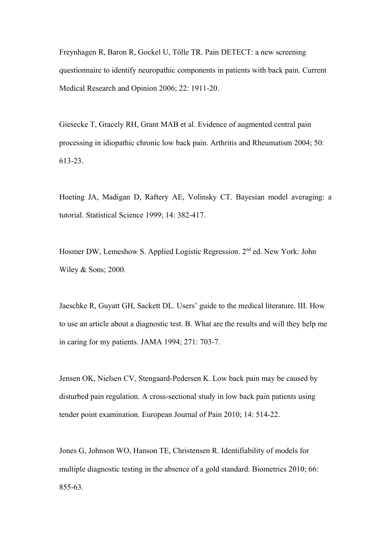Freynhagen R, Baron R, Gockel U, Tölle TR. Pain DETECT: a new screening questionnaire to identify neuropathic components in patients with back pain. Current Medical Research and Opinion 2006; 22: 1911-20.

Giesecke T, Gracely RH, Grant MAB et al. Evidence of augmented central pain processing in idiopathic chronic low back pain. Arthritis and Rheumatism 2004; 50: 613-23.

Hoeting JA, Madigan D, Raftery AE, Volinsky CT. Bayesian model averaging: a tutorial. Statistical Science 1999; 14: 382-417.

Hosmer DW, Lemeshow S. Applied Logistic Regression. 2<sup>nd</sup> ed. New York: John Wiley & Sons; 2000.

Jaeschke R, Guyatt GH, Sackett DL. Users' guide to the medical literature. III. How to use an article about a diagnostic test. B. What are the results and will they help me in caring for my patients. JAMA 1994; 271: 703-7.

Jensen OK, Nielsen CV, Stengaard-Pedersen K. Low back pain may be caused by disturbed pain regulation. A cross-sectional study in low back pain patients using tender point examination. European Journal of Pain 2010; 14: 514-22.

Jones G, Johnson WO, Hanson TE, Christensen R. Identifiability of models for multiple diagnostic testing in the absence of a gold standard. Biometrics 2010; 66: 855-63.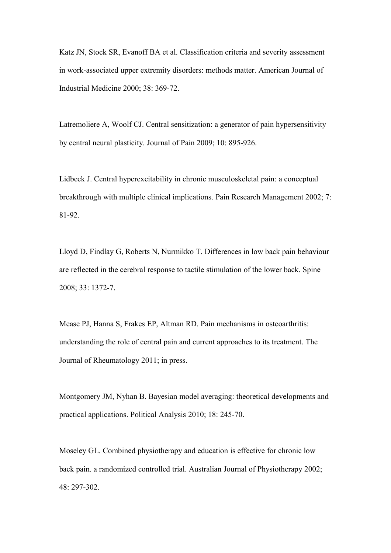Katz JN, Stock SR, Evanoff BA et al. Classification criteria and severity assessment in work-associated upper extremity disorders: methods matter. American Journal of Industrial Medicine 2000; 38: 369-72.

Latremoliere A, Woolf CJ. Central sensitization: a generator of pain hypersensitivity by central neural plasticity. Journal of Pain 2009; 10: 895-926.

Lidbeck J. Central hyperexcitability in chronic musculoskeletal pain: a conceptual breakthrough with multiple clinical implications. Pain Research Management 2002; 7: 81-92.

Lloyd D, Findlay G, Roberts N, Nurmikko T. Differences in low back pain behaviour are reflected in the cerebral response to tactile stimulation of the lower back. Spine 2008; 33: 1372-7.

Mease PJ, Hanna S, Frakes EP, Altman RD. Pain mechanisms in osteoarthritis: understanding the role of central pain and current approaches to its treatment. The Journal of Rheumatology 2011; in press.

Montgomery JM, Nyhan B. Bayesian model averaging: theoretical developments and practical applications. Political Analysis 2010; 18: 245-70.

Moseley GL. Combined physiotherapy and education is effective for chronic low back pain. a randomized controlled trial. Australian Journal of Physiotherapy 2002; 48: 297-302.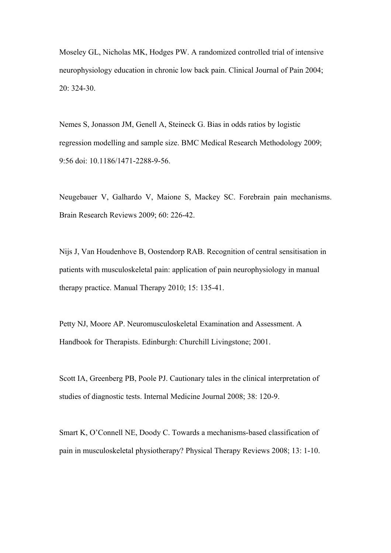Moseley GL, Nicholas MK, Hodges PW. A randomized controlled trial of intensive neurophysiology education in chronic low back pain. Clinical Journal of Pain 2004; 20: 324-30.

Nemes S, Jonasson JM, Genell A, Steineck G. Bias in odds ratios by logistic regression modelling and sample size. BMC Medical Research Methodology 2009; 9:56 doi: 10.1186/1471-2288-9-56.

Neugebauer V, Galhardo V, Maione S, Mackey SC. Forebrain pain mechanisms. Brain Research Reviews 2009; 60: 226-42.

Nijs J, Van Houdenhove B, Oostendorp RAB. Recognition of central sensitisation in patients with musculoskeletal pain: application of pain neurophysiology in manual therapy practice. Manual Therapy 2010; 15: 135-41.

Petty NJ, Moore AP. Neuromusculoskeletal Examination and Assessment. A Handbook for Therapists. Edinburgh: Churchill Livingstone; 2001.

Scott IA, Greenberg PB, Poole PJ. Cautionary tales in the clinical interpretation of studies of diagnostic tests. Internal Medicine Journal 2008; 38: 120-9.

Smart K, O'Connell NE, Doody C. Towards a mechanisms-based classification of pain in musculoskeletal physiotherapy? Physical Therapy Reviews 2008; 13: 1-10.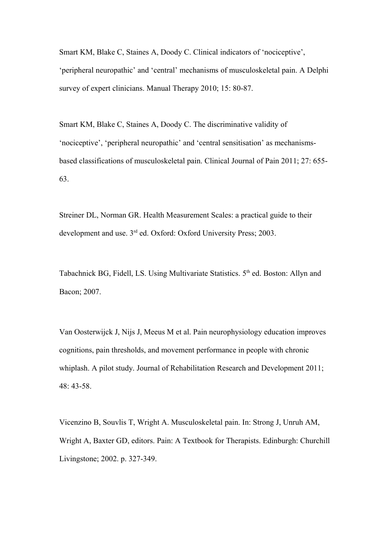Smart KM, Blake C, Staines A, Doody C. Clinical indicators of 'nociceptive', 'peripheral neuropathic' and 'central' mechanisms of musculoskeletal pain. A Delphi survey of expert clinicians. Manual Therapy 2010; 15: 80-87.

Smart KM, Blake C, Staines A, Doody C. The discriminative validity of 'nociceptive', 'peripheral neuropathic' and 'central sensitisation' as mechanismsbased classifications of musculoskeletal pain. Clinical Journal of Pain 2011; 27: 655- 63.

Streiner DL, Norman GR. Health Measurement Scales: a practical guide to their development and use. 3<sup>rd</sup> ed. Oxford: Oxford University Press; 2003.

Tabachnick BG, Fidell, LS. Using Multivariate Statistics. 5<sup>th</sup> ed. Boston: Allyn and Bacon; 2007.

Van Oosterwijck J, Nijs J, Meeus M et al. Pain neurophysiology education improves cognitions, pain thresholds, and movement performance in people with chronic whiplash. A pilot study. Journal of Rehabilitation Research and Development 2011; 48: 43-58.

Vicenzino B, Souvlis T, Wright A. Musculoskeletal pain. In: Strong J, Unruh AM, Wright A, Baxter GD, editors. Pain: A Textbook for Therapists. Edinburgh: Churchill Livingstone; 2002. p. 327-349.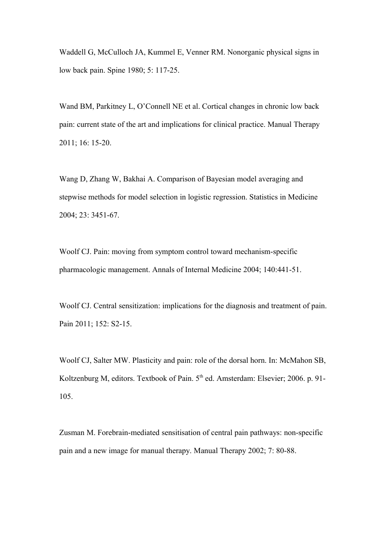Waddell G, McCulloch JA, Kummel E, Venner RM. Nonorganic physical signs in low back pain. Spine 1980; 5: 117-25.

Wand BM, Parkitney L, O'Connell NE et al. Cortical changes in chronic low back pain: current state of the art and implications for clinical practice. Manual Therapy 2011; 16: 15-20.

Wang D, Zhang W, Bakhai A. Comparison of Bayesian model averaging and stepwise methods for model selection in logistic regression. Statistics in Medicine 2004; 23: 3451-67.

Woolf CJ. Pain: moving from symptom control toward mechanism-specific pharmacologic management. Annals of Internal Medicine 2004; 140:441-51.

Woolf CJ. Central sensitization: implications for the diagnosis and treatment of pain. Pain 2011; 152: S2-15.

Woolf CJ, Salter MW. Plasticity and pain: role of the dorsal horn. In: McMahon SB, Koltzenburg M, editors. Textbook of Pain. 5<sup>th</sup> ed. Amsterdam: Elsevier; 2006. p. 91-105.

Zusman M. Forebrain-mediated sensitisation of central pain pathways: non-specific pain and a new image for manual therapy. Manual Therapy 2002; 7: 80-88.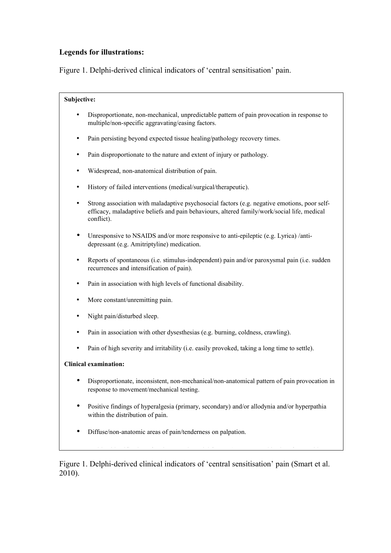# **Legends for illustrations:**

Figure 1. Delphi-derived clinical indicators of 'central sensitisation' pain.

# **Subjective:** • Disproportionate, non-mechanical, unpredictable pattern of pain provocation in response to multiple/non-specific aggravating/easing factors. Pain persisting beyond expected tissue healing/pathology recovery times. Pain disproportionate to the nature and extent of injury or pathology. • Widespread, non-anatomical distribution of pain. • History of failed interventions (medical/surgical/therapeutic). Strong association with maladaptive psychosocial factors (e.g. negative emotions, poor selfefficacy, maladaptive beliefs and pain behaviours, altered family/work/social life, medical conflict). Unresponsive to NSAIDS and/or more responsive to anti-epileptic (e.g. Lyrica) /antidepressant (e.g. Amitriptyline) medication. • Reports of spontaneous (i.e. stimulus-independent) pain and/or paroxysmal pain (i.e. sudden recurrences and intensification of pain). Pain in association with high levels of functional disability. More constant/unremitting pain. Night pain/disturbed sleep. • Pain in association with other dysesthesias (e.g. burning, coldness, crawling). • Pain of high severity and irritability (i.e. easily provoked, taking a long time to settle). **Clinical examination:** • Disproportionate, inconsistent, non-mechanical/non-anatomical pattern of pain provocation in response to movement/mechanical testing. • Positive findings of hyperalgesia (primary, secondary) and/or allodynia and/or hyperpathia within the distribution of pain. • Diffuse/non-anatomic areas of pain/tenderness on palpation. • Positive identification of various psychosocial factors (e.g. catastrophisation, fear-avoidance

Figure 1. Delphi-derived clinical indicators of 'central sensitisation' pain (Smart et al. 2010).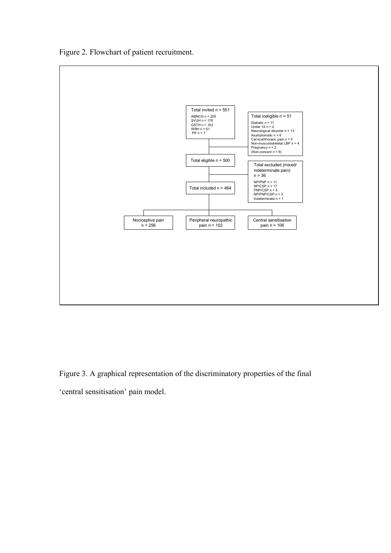Figure 2. Flowchart of patient recruitment.



Figure 3. A graphical representation of the discriminatory properties of the final 'central sensitisation' pain model.